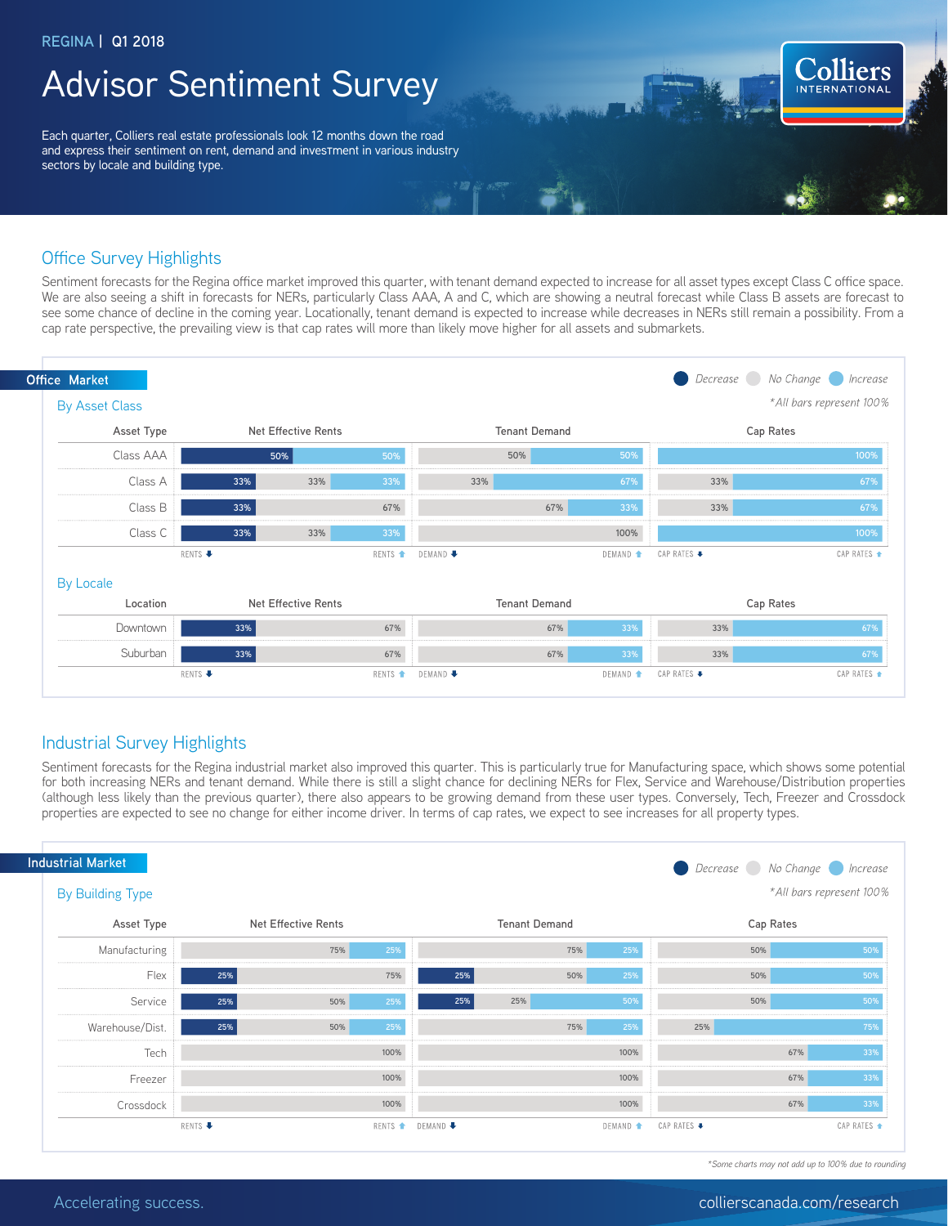## Advisor Sentiment Survey

Each quarter, Colliers real estate professionals look 12 months down the road and express their sentiment on rent, demand and investment in various industry sectors by locale and building type.

### Office Survey Highlights

Sentiment forecasts for the Regina office market improved this quarter, with tenant demand expected to increase for all asset types except Class C office space. We are also seeing a shift in forecasts for NERs, particularly Class AAA, A and C, which are showing a neutral forecast while Class B assets are forecast to see some chance of decline in the coming year. Locationally, tenant demand is expected to increase while decreases in NERs still remain a possibility. From a cap rate perspective, the prevailing view is that cap rates will more than likely move higher for all assets and submarkets.



### Industrial Survey Highlights

Sentiment forecasts for the Regina industrial market also improved this quarter. This is particularly true for Manufacturing space, which shows some potential for both increasing NERs and tenant demand. While there is still a slight chance for declining NERs for Flex, Service and Warehouse/Distribution properties (although less likely than the previous quarter), there also appears to be growing demand from these user types. Conversely, Tech, Freezer and Crossdock properties are expected to see no change for either income driver. In terms of cap rates, we expect to see increases for all property types.

| <b>Industrial Market</b><br>Decrease No Change Increase |                         |                            |     |                    |          |                      |                          |             |     |             |
|---------------------------------------------------------|-------------------------|----------------------------|-----|--------------------|----------|----------------------|--------------------------|-------------|-----|-------------|
|                                                         | <b>By Building Type</b> |                            |     |                    |          |                      | *All bars represent 100% |             |     |             |
|                                                         | Asset Type              | <b>Net Effective Rents</b> |     |                    |          | <b>Tenant Demand</b> |                          | Cap Rates   |     |             |
|                                                         | Manufacturing           |                            | 75% | 25%                |          | 75%                  | 25%                      |             | 50% | 50%         |
|                                                         | Flex                    | 25%                        |     | 75%                | 25%      | 50%                  | 25%                      |             | 50% | 50%         |
|                                                         | Service                 | 25%                        | 50% | 25%                | 25%      | 25%                  | 50%                      |             | 50% | 50%         |
|                                                         | Warehouse/Dist.         | 25%                        | 50% | 25%                |          | 75%                  | 25%                      | 25%         |     | 75%         |
|                                                         | Tech                    |                            |     | 100%               |          |                      | 100%                     |             | 67% | 33%         |
|                                                         | Freezer                 |                            |     | 100%               |          |                      | 100%                     |             | 67% | 33%         |
|                                                         | Crossdock               |                            |     | 100%               |          |                      | 100%                     |             | 67% | 33%         |
|                                                         |                         | RENTS +                    |     | RENTS <sup>+</sup> | DEMAND + |                      | DEMAND <sup>+</sup>      | CAP RATES → |     | CAP RATES ▲ |

*\*Some charts may not add up to 100% due to rounding*

**Colliers**